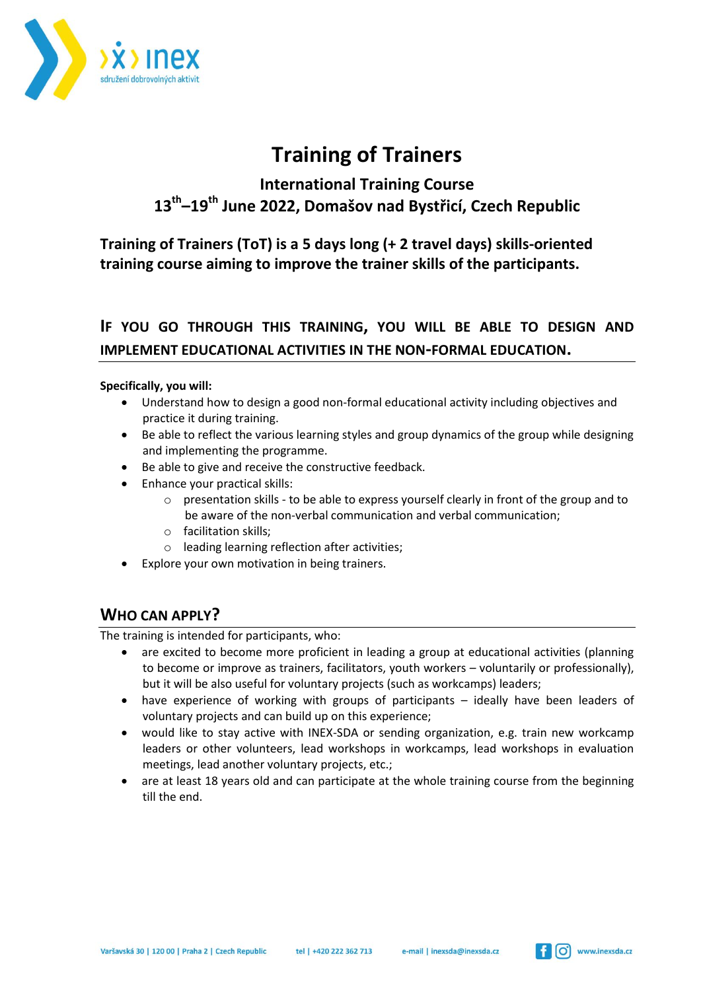

# **Training of Trainers**

# **International Training Course 13th –19th June 2022, Domašov nad Bystřicí, Czech Republic**

**Training of Trainers (ToT) is a 5 days long (+ 2 travel days) skills-oriented training course aiming to improve the trainer skills of the participants.**

## **IF YOU GO THROUGH THIS TRAINING, YOU WILL BE ABLE TO DESIGN AND IMPLEMENT EDUCATIONAL ACTIVITIES IN THE NON-FORMAL EDUCATION.**

#### **Specifically, you will:**

- Understand how to design a good non-formal educational activity including objectives and practice it during training.
- Be able to reflect the various learning styles and group dynamics of the group while designing and implementing the programme.
- Be able to give and receive the constructive feedback.
- Enhance your practical skills:
	- $\circ$  presentation skills to be able to express yourself clearly in front of the group and to be aware of the non-verbal communication and verbal communication;
	- o facilitation skills;
	- o leading learning reflection after activities;
- Explore your own motivation in being trainers.

### **WHO CAN APPLY?**

The training is intended for participants, who:

- are excited to become more proficient in leading a group at educational activities (planning to become or improve as trainers, facilitators, youth workers – voluntarily or professionally), but it will be also useful for voluntary projects (such as workcamps) leaders;
- have experience of working with groups of participants ideally have been leaders of voluntary projects and can build up on this experience;
- would like to stay active with INEX-SDA or sending organization, e.g. train new workcamp leaders or other volunteers, lead workshops in workcamps, lead workshops in evaluation meetings, lead another voluntary projects, etc.;
- are at least 18 years old and can participate at the whole training course from the beginning till the end.